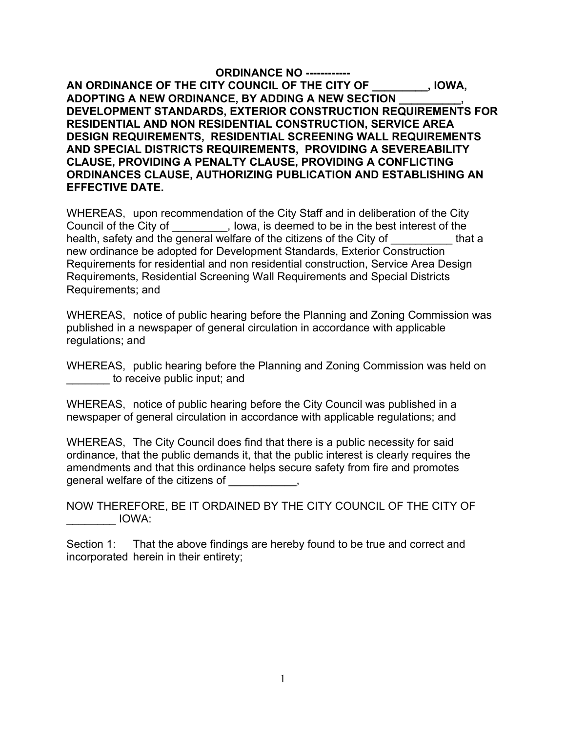**ORDINANCE NO ------------ AN ORDINANCE OF THE CITY COUNCIL OF THE CITY OF \_\_\_\_\_\_\_\_\_, IOWA, ADOPTING A NEW ORDINANCE, BY ADDING A NEW SECTION \_\_\_\_\_\_\_\_\_\_, DEVELOPMENT STANDARDS, EXTERIOR CONSTRUCTION REQUIREMENTS FOR RESIDENTIAL AND NON RESIDENTIAL CONSTRUCTION, SERVICE AREA DESIGN REQUIREMENTS, RESIDENTIAL SCREENING WALL REQUIREMENTS AND SPECIAL DISTRICTS REQUIREMENTS, PROVIDING A SEVEREABILITY CLAUSE, PROVIDING A PENALTY CLAUSE, PROVIDING A CONFLICTING ORDINANCES CLAUSE, AUTHORIZING PUBLICATION AND ESTABLISHING AN EFFECTIVE DATE.** 

WHEREAS, upon recommendation of the City Staff and in deliberation of the City Council of the City of  $\qquad \qquad$ , Iowa, is deemed to be in the best interest of the health, safety and the general welfare of the citizens of the City of the that a new ordinance be adopted for Development Standards, Exterior Construction Requirements for residential and non residential construction, Service Area Design Requirements, Residential Screening Wall Requirements and Special Districts Requirements; and

WHEREAS, notice of public hearing before the Planning and Zoning Commission was published in a newspaper of general circulation in accordance with applicable regulations; and

WHEREAS, public hearing before the Planning and Zoning Commission was held on to receive public input; and

WHEREAS, notice of public hearing before the City Council was published in a newspaper of general circulation in accordance with applicable regulations; and

WHEREAS, The City Council does find that there is a public necessity for said ordinance, that the public demands it, that the public interest is clearly requires the amendments and that this ordinance helps secure safety from fire and promotes general welfare of the citizens of \_\_\_\_\_\_\_\_\_\_\_,

NOW THEREFORE, BE IT ORDAINED BY THE CITY COUNCIL OF THE CITY OF  $\blacksquare$  IOWA:

Section 1: That the above findings are hereby found to be true and correct and incorporated herein in their entirety;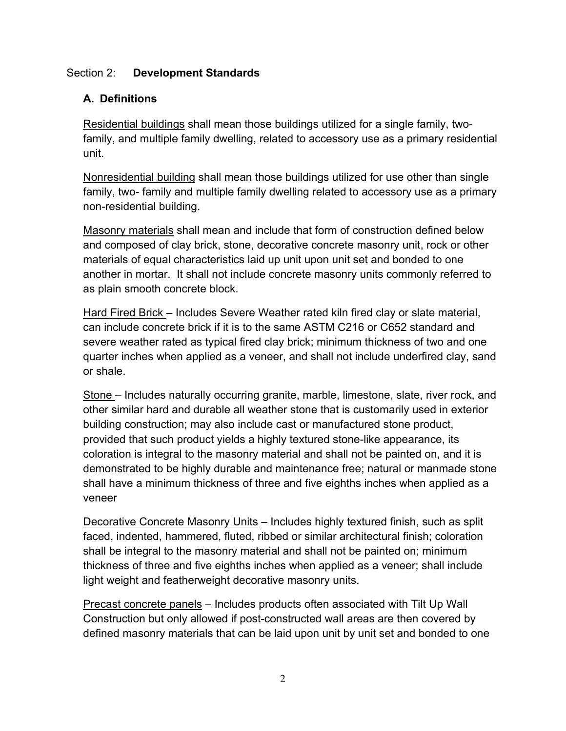## Section 2: **Development Standards**

# **A. Definitions**

Residential buildings shall mean those buildings utilized for a single family, twofamily, and multiple family dwelling, related to accessory use as a primary residential unit.

Nonresidential building shall mean those buildings utilized for use other than single family, two- family and multiple family dwelling related to accessory use as a primary non-residential building.

Masonry materials shall mean and include that form of construction defined below and composed of clay brick, stone, decorative concrete masonry unit, rock or other materials of equal characteristics laid up unit upon unit set and bonded to one another in mortar. It shall not include concrete masonry units commonly referred to as plain smooth concrete block.

Hard Fired Brick – Includes Severe Weather rated kiln fired clay or slate material, can include concrete brick if it is to the same ASTM C216 or C652 standard and severe weather rated as typical fired clay brick; minimum thickness of two and one quarter inches when applied as a veneer, and shall not include underfired clay, sand or shale.

Stone – Includes naturally occurring granite, marble, limestone, slate, river rock, and other similar hard and durable all weather stone that is customarily used in exterior building construction; may also include cast or manufactured stone product, provided that such product yields a highly textured stone-like appearance, its coloration is integral to the masonry material and shall not be painted on, and it is demonstrated to be highly durable and maintenance free; natural or manmade stone shall have a minimum thickness of three and five eighths inches when applied as a veneer

Decorative Concrete Masonry Units - Includes highly textured finish, such as split faced, indented, hammered, fluted, ribbed or similar architectural finish; coloration shall be integral to the masonry material and shall not be painted on; minimum thickness of three and five eighths inches when applied as a veneer; shall include light weight and featherweight decorative masonry units.

Precast concrete panels – Includes products often associated with Tilt Up Wall Construction but only allowed if post-constructed wall areas are then covered by defined masonry materials that can be laid upon unit by unit set and bonded to one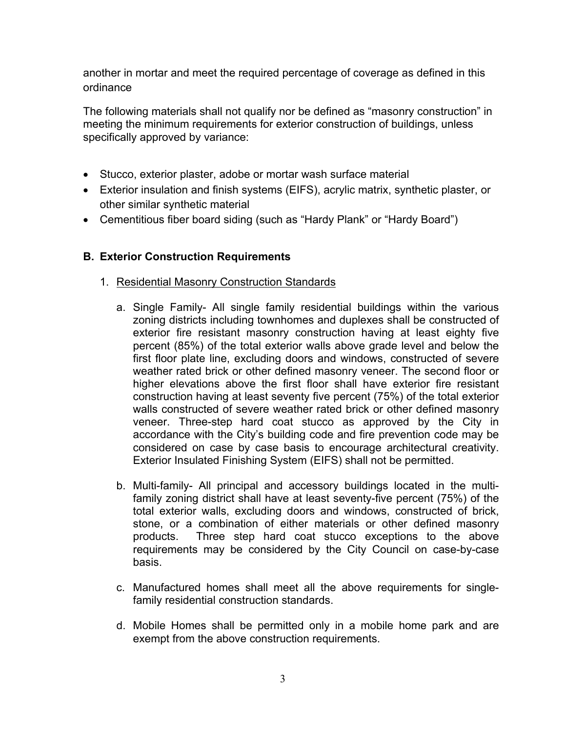another in mortar and meet the required percentage of coverage as defined in this ordinance

The following materials shall not qualify nor be defined as "masonry construction" in meeting the minimum requirements for exterior construction of buildings, unless specifically approved by variance:

- Stucco, exterior plaster, adobe or mortar wash surface material
- Exterior insulation and finish systems (EIFS), acrylic matrix, synthetic plaster, or other similar synthetic material
- Cementitious fiber board siding (such as "Hardy Plank" or "Hardy Board")

## **B. Exterior Construction Requirements**

- 1. Residential Masonry Construction Standards
	- a. Single Family- All single family residential buildings within the various zoning districts including townhomes and duplexes shall be constructed of exterior fire resistant masonry construction having at least eighty five percent (85%) of the total exterior walls above grade level and below the first floor plate line, excluding doors and windows, constructed of severe weather rated brick or other defined masonry veneer. The second floor or higher elevations above the first floor shall have exterior fire resistant construction having at least seventy five percent (75%) of the total exterior walls constructed of severe weather rated brick or other defined masonry veneer. Three-step hard coat stucco as approved by the City in accordance with the City's building code and fire prevention code may be considered on case by case basis to encourage architectural creativity. Exterior Insulated Finishing System (EIFS) shall not be permitted.
	- b. Multi-family- All principal and accessory buildings located in the multifamily zoning district shall have at least seventy-five percent (75%) of the total exterior walls, excluding doors and windows, constructed of brick, stone, or a combination of either materials or other defined masonry products. Three step hard coat stucco exceptions to the above requirements may be considered by the City Council on case-by-case basis.
	- c. Manufactured homes shall meet all the above requirements for singlefamily residential construction standards.
	- d. Mobile Homes shall be permitted only in a mobile home park and are exempt from the above construction requirements.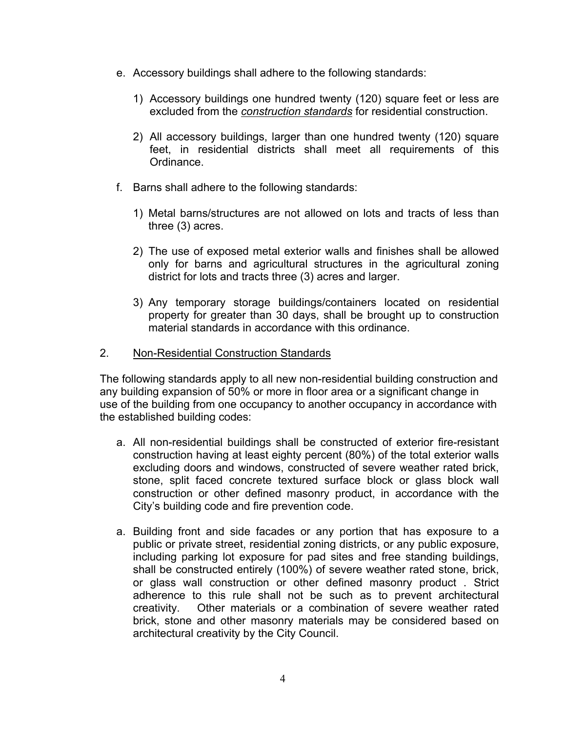- e. Accessory buildings shall adhere to the following standards:
	- 1) Accessory buildings one hundred twenty (120) square feet or less are excluded from the *construction standards* for residential construction.
	- 2) All accessory buildings, larger than one hundred twenty (120) square feet, in residential districts shall meet all requirements of this Ordinance.
- f. Barns shall adhere to the following standards:
	- 1) Metal barns/structures are not allowed on lots and tracts of less than three (3) acres.
	- 2) The use of exposed metal exterior walls and finishes shall be allowed only for barns and agricultural structures in the agricultural zoning district for lots and tracts three (3) acres and larger.
	- 3) Any temporary storage buildings/containers located on residential property for greater than 30 days, shall be brought up to construction material standards in accordance with this ordinance.

## 2. Non-Residential Construction Standards

The following standards apply to all new non-residential building construction and any building expansion of 50% or more in floor area or a significant change in use of the building from one occupancy to another occupancy in accordance with the established building codes:

- a. All non-residential buildings shall be constructed of exterior fire-resistant construction having at least eighty percent (80%) of the total exterior walls excluding doors and windows, constructed of severe weather rated brick, stone, split faced concrete textured surface block or glass block wall construction or other defined masonry product, in accordance with the City's building code and fire prevention code.
- a. Building front and side facades or any portion that has exposure to a public or private street, residential zoning districts, or any public exposure, including parking lot exposure for pad sites and free standing buildings, shall be constructed entirely (100%) of severe weather rated stone, brick, or glass wall construction or other defined masonry product . Strict adherence to this rule shall not be such as to prevent architectural creativity. Other materials or a combination of severe weather rated brick, stone and other masonry materials may be considered based on architectural creativity by the City Council.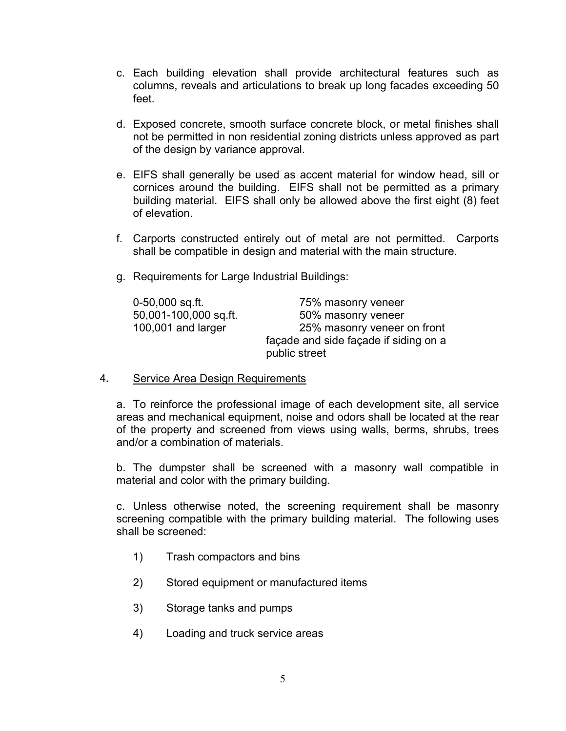- c. Each building elevation shall provide architectural features such as columns, reveals and articulations to break up long facades exceeding 50 feet.
- d. Exposed concrete, smooth surface concrete block, or metal finishes shall not be permitted in non residential zoning districts unless approved as part of the design by variance approval.
- e. EIFS shall generally be used as accent material for window head, sill or cornices around the building. EIFS shall not be permitted as a primary building material. EIFS shall only be allowed above the first eight (8) feet of elevation.
- f. Carports constructed entirely out of metal are not permitted. Carports shall be compatible in design and material with the main structure.
- g. Requirements for Large Industrial Buildings:

| 0-50,000 sq.ft.       | 75% masonry veneer                    |
|-----------------------|---------------------------------------|
| 50,001-100,000 sq.ft. | 50% masonry veneer                    |
| 100,001 and larger    | 25% masonry veneer on front           |
|                       | façade and side façade if siding on a |
|                       | public street                         |

4**.** Service Area Design Requirements

 a. To reinforce the professional image of each development site, all service areas and mechanical equipment, noise and odors shall be located at the rear of the property and screened from views using walls, berms, shrubs, trees and/or a combination of materials.

 b. The dumpster shall be screened with a masonry wall compatible in material and color with the primary building.

 c. Unless otherwise noted, the screening requirement shall be masonry screening compatible with the primary building material. The following uses shall be screened:

- 1) Trash compactors and bins
- 2) Stored equipment or manufactured items
- 3) Storage tanks and pumps
- 4) Loading and truck service areas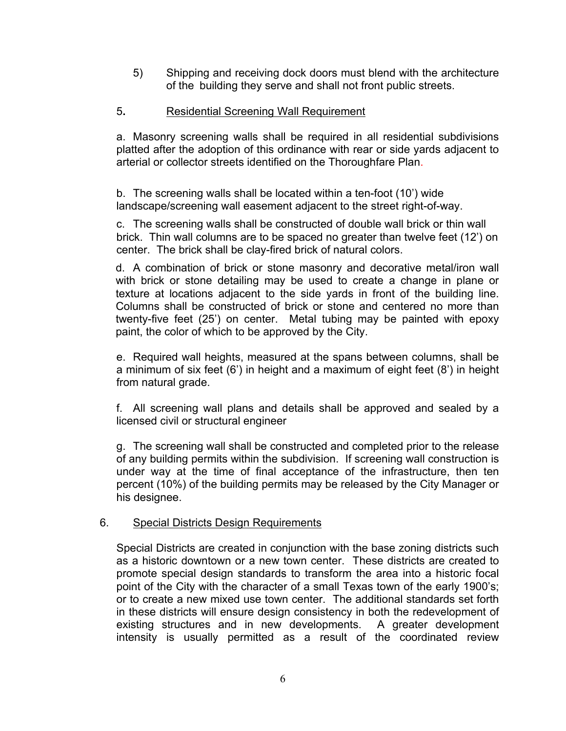5) Shipping and receiving dock doors must blend with the architecture of the building they serve and shall not front public streets.

## 5**.** Residential Screening Wall Requirement

a. Masonry screening walls shall be required in all residential subdivisions platted after the adoption of this ordinance with rear or side yards adjacent to arterial or collector streets identified on the Thoroughfare Plan.

 b. The screening walls shall be located within a ten-foot (10') wide landscape/screening wall easement adjacent to the street right-of-way.

 c. The screening walls shall be constructed of double wall brick or thin wall brick. Thin wall columns are to be spaced no greater than twelve feet (12') on center. The brick shall be clay-fired brick of natural colors.

 d. A combination of brick or stone masonry and decorative metal/iron wall with brick or stone detailing may be used to create a change in plane or texture at locations adjacent to the side yards in front of the building line. Columns shall be constructed of brick or stone and centered no more than twenty-five feet (25') on center. Metal tubing may be painted with epoxy paint, the color of which to be approved by the City.

 e. Required wall heights, measured at the spans between columns, shall be a minimum of six feet (6') in height and a maximum of eight feet (8') in height from natural grade.

 f. All screening wall plans and details shall be approved and sealed by a licensed civil or structural engineer

 g. The screening wall shall be constructed and completed prior to the release of any building permits within the subdivision. If screening wall construction is under way at the time of final acceptance of the infrastructure, then ten percent (10%) of the building permits may be released by the City Manager or his designee.

#### 6. Special Districts Design Requirements

Special Districts are created in conjunction with the base zoning districts such as a historic downtown or a new town center. These districts are created to promote special design standards to transform the area into a historic focal point of the City with the character of a small Texas town of the early 1900's; or to create a new mixed use town center. The additional standards set forth in these districts will ensure design consistency in both the redevelopment of existing structures and in new developments. A greater development intensity is usually permitted as a result of the coordinated review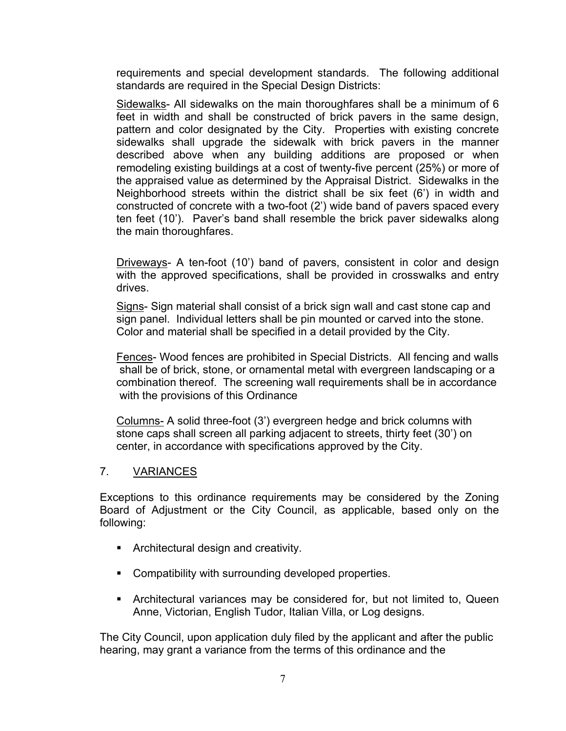requirements and special development standards. The following additional standards are required in the Special Design Districts:

Sidewalks- All sidewalks on the main thoroughfares shall be a minimum of 6 feet in width and shall be constructed of brick pavers in the same design, pattern and color designated by the City. Properties with existing concrete sidewalks shall upgrade the sidewalk with brick pavers in the manner described above when any building additions are proposed or when remodeling existing buildings at a cost of twenty-five percent (25%) or more of the appraised value as determined by the Appraisal District. Sidewalks in the Neighborhood streets within the district shall be six feet (6') in width and constructed of concrete with a two-foot (2') wide band of pavers spaced every ten feet (10'). Paver's band shall resemble the brick paver sidewalks along the main thoroughfares.

Driveways- A ten-foot (10') band of pavers, consistent in color and design with the approved specifications, shall be provided in crosswalks and entry drives.

Signs- Sign material shall consist of a brick sign wall and cast stone cap and sign panel. Individual letters shall be pin mounted or carved into the stone. Color and material shall be specified in a detail provided by the City.

Fences- Wood fences are prohibited in Special Districts. All fencing and walls shall be of brick, stone, or ornamental metal with evergreen landscaping or a combination thereof. The screening wall requirements shall be in accordance with the provisions of this Ordinance

Columns- A solid three-foot (3') evergreen hedge and brick columns with stone caps shall screen all parking adjacent to streets, thirty feet (30') on center, in accordance with specifications approved by the City.

#### 7. VARIANCES

Exceptions to this ordinance requirements may be considered by the Zoning Board of Adjustment or the City Council, as applicable, based only on the following:

- **Architectural design and creativity.**
- **Compatibility with surrounding developed properties.**
- Architectural variances may be considered for, but not limited to, Queen Anne, Victorian, English Tudor, Italian Villa, or Log designs.

The City Council, upon application duly filed by the applicant and after the public hearing, may grant a variance from the terms of this ordinance and the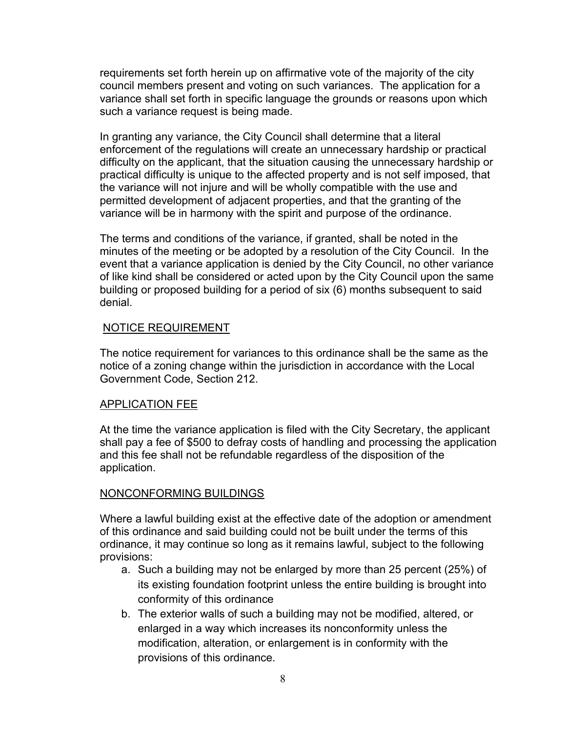requirements set forth herein up on affirmative vote of the majority of the city council members present and voting on such variances. The application for a variance shall set forth in specific language the grounds or reasons upon which such a variance request is being made.

In granting any variance, the City Council shall determine that a literal enforcement of the regulations will create an unnecessary hardship or practical difficulty on the applicant, that the situation causing the unnecessary hardship or practical difficulty is unique to the affected property and is not self imposed, that the variance will not injure and will be wholly compatible with the use and permitted development of adjacent properties, and that the granting of the variance will be in harmony with the spirit and purpose of the ordinance.

The terms and conditions of the variance, if granted, shall be noted in the minutes of the meeting or be adopted by a resolution of the City Council. In the event that a variance application is denied by the City Council, no other variance of like kind shall be considered or acted upon by the City Council upon the same building or proposed building for a period of six (6) months subsequent to said denial.

#### NOTICE REQUIREMENT

The notice requirement for variances to this ordinance shall be the same as the notice of a zoning change within the jurisdiction in accordance with the Local Government Code, Section 212.

#### APPLICATION FEE

At the time the variance application is filed with the City Secretary, the applicant shall pay a fee of \$500 to defray costs of handling and processing the application and this fee shall not be refundable regardless of the disposition of the application.

#### NONCONFORMING BUILDINGS

Where a lawful building exist at the effective date of the adoption or amendment of this ordinance and said building could not be built under the terms of this ordinance, it may continue so long as it remains lawful, subject to the following provisions:

- a. Such a building may not be enlarged by more than 25 percent (25%) of its existing foundation footprint unless the entire building is brought into conformity of this ordinance
- b. The exterior walls of such a building may not be modified, altered, or enlarged in a way which increases its nonconformity unless the modification, alteration, or enlargement is in conformity with the provisions of this ordinance.